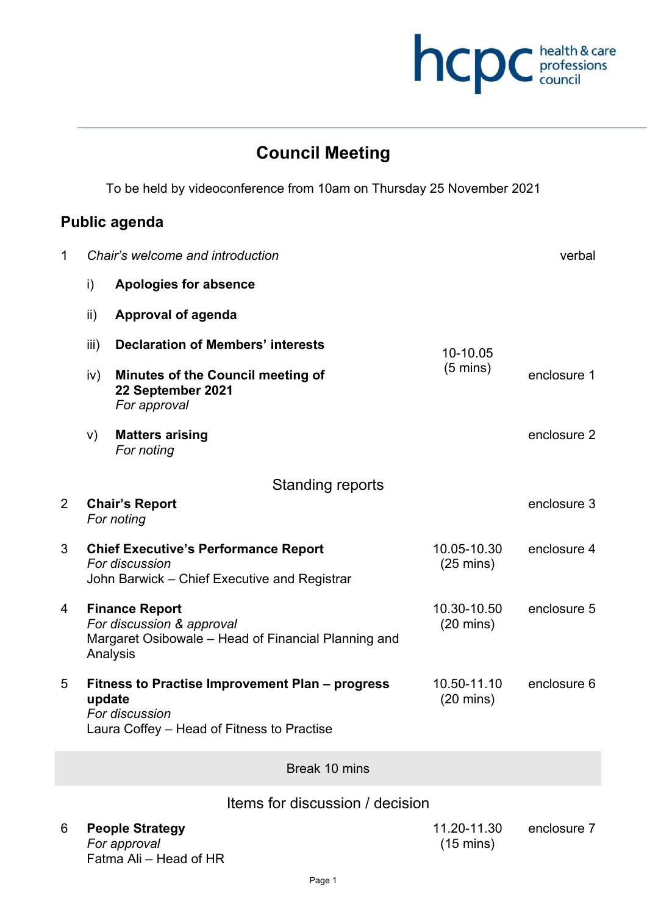

## **Council Meeting**

To be held by videoconference from 10am on Thursday 25 November 2021

## **Public agenda**

| $\mathbf 1$    | Chair's welcome and introduction                                                                                      |                                                                                                                 |                                    | verbal      |
|----------------|-----------------------------------------------------------------------------------------------------------------------|-----------------------------------------------------------------------------------------------------------------|------------------------------------|-------------|
|                | i)                                                                                                                    | <b>Apologies for absence</b>                                                                                    |                                    |             |
|                | ii)                                                                                                                   | <b>Approval of agenda</b>                                                                                       |                                    |             |
|                | iii)                                                                                                                  | <b>Declaration of Members' interests</b>                                                                        | 10-10.05                           |             |
|                | iv)                                                                                                                   | <b>Minutes of the Council meeting of</b><br>22 September 2021<br>For approval                                   | $(5 \text{ mins})$                 | enclosure 1 |
|                | V)                                                                                                                    | <b>Matters arising</b><br>For noting                                                                            |                                    | enclosure 2 |
|                |                                                                                                                       | <b>Standing reports</b>                                                                                         |                                    |             |
| $\overline{2}$ | <b>Chair's Report</b><br>For noting                                                                                   |                                                                                                                 |                                    | enclosure 3 |
| 3              |                                                                                                                       | <b>Chief Executive's Performance Report</b><br>For discussion<br>John Barwick – Chief Executive and Registrar   | 10.05-10.30<br>$(25 \text{ mins})$ | enclosure 4 |
| 4              | <b>Finance Report</b><br>For discussion & approval<br>Margaret Osibowale – Head of Financial Planning and<br>Analysis |                                                                                                                 | 10.30-10.50<br>$(20 \text{ mins})$ | enclosure 5 |
| 5              | update                                                                                                                | Fitness to Practise Improvement Plan - progress<br>For discussion<br>Laura Coffey – Head of Fitness to Practise | 10.50-11.10<br>$(20 \text{ mins})$ | enclosure 6 |
|                |                                                                                                                       | Break 10 mins                                                                                                   |                                    |             |
|                |                                                                                                                       | Items for discussion / decision                                                                                 |                                    |             |

6 **People Strategy** *For approval*  Fatma Ali – Head of HR 11.20-11.30 (15 mins) enclosure 7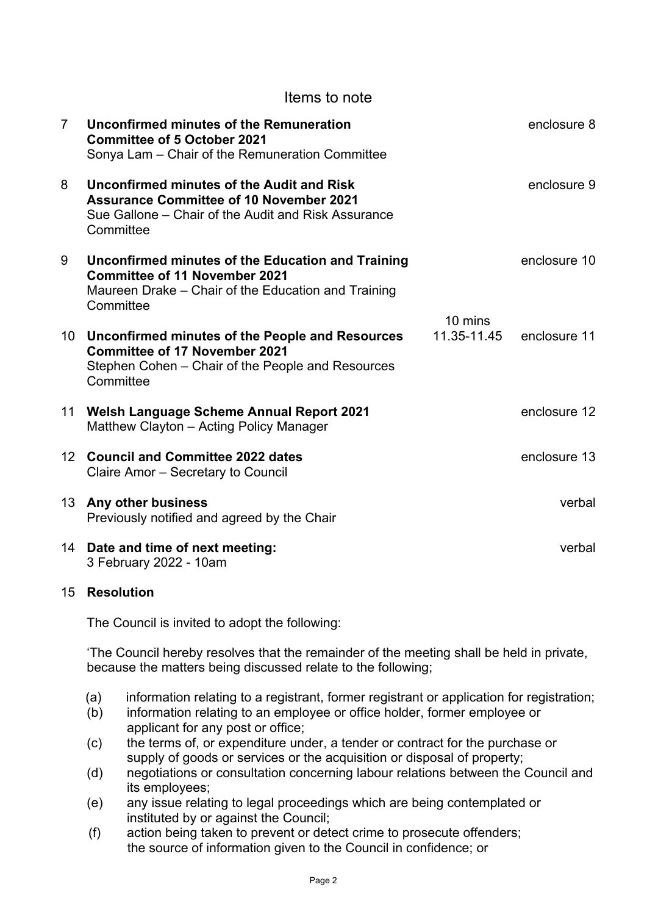|                 | Items to note                                                                                                                                                   |                        |              |
|-----------------|-----------------------------------------------------------------------------------------------------------------------------------------------------------------|------------------------|--------------|
| $\overline{7}$  | Unconfirmed minutes of the Remuneration<br><b>Committee of 5 October 2021</b><br>Sonya Lam - Chair of the Remuneration Committee                                |                        | enclosure 8  |
| 8               | Unconfirmed minutes of the Audit and Risk<br><b>Assurance Committee of 10 November 2021</b><br>Sue Gallone – Chair of the Audit and Risk Assurance<br>Committee |                        | enclosure 9  |
| 9               | Unconfirmed minutes of the Education and Training<br><b>Committee of 11 November 2021</b><br>Maureen Drake - Chair of the Education and Training<br>Committee   | 10 mins<br>11.35-11.45 | enclosure 10 |
|                 | 10 Unconfirmed minutes of the People and Resources<br><b>Committee of 17 November 2021</b><br>Stephen Cohen – Chair of the People and Resources<br>Committee    |                        | enclosure 11 |
|                 | 11 Welsh Language Scheme Annual Report 2021<br>Matthew Clayton - Acting Policy Manager                                                                          |                        | enclosure 12 |
| 12 <sup>2</sup> | <b>Council and Committee 2022 dates</b><br>Claire Amor - Secretary to Council                                                                                   |                        | enclosure 13 |
| 13 <sup>°</sup> | Any other business<br>Previously notified and agreed by the Chair                                                                                               |                        | verbal       |
|                 | 14 Date and time of next meeting:<br>3 February 2022 - 10am                                                                                                     |                        | verbal       |

## 15 **Resolution**

The Council is invited to adopt the following:

'The Council hereby resolves that the remainder of the meeting shall be held in private, because the matters being discussed relate to the following;

- (a) information relating to a registrant, former registrant or application for registration;
- (b) information relating to an employee or office holder, former employee or applicant for any post or office;
- (c) the terms of, or expenditure under, a tender or contract for the purchase or supply of goods or services or the acquisition or disposal of property;
- (d) negotiations or consultation concerning labour relations between the Council and its employees;
- (e) any issue relating to legal proceedings which are being contemplated or instituted by or against the Council;
- (f) action being taken to prevent or detect crime to prosecute offenders; the source of information given to the Council in confidence; or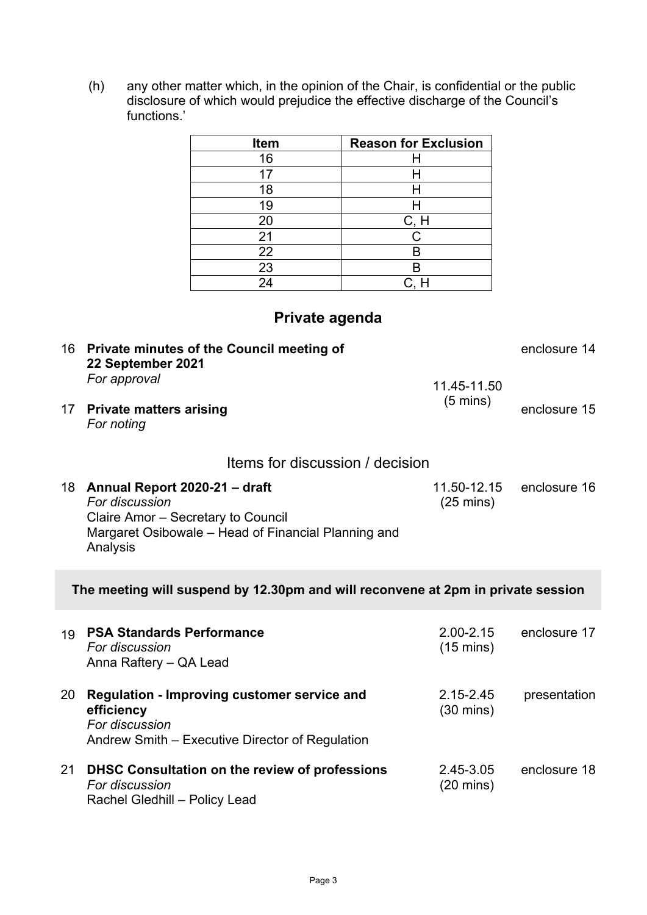functions.' **Item Reason for Exclusion** 16 H 17 H 18 H 19 H 20 C, H 21 C 22 B 23 B 24 C. H **Private agenda** 16 **Private minutes of the Council meeting of 22 September 2021** *For approval* 11.45-11.50 (5 mins) enclosure 14 17 **Private matters arising** *For noting* enclosure 15 Items for discussion / decision 18 **Annual Report 2020-21 – draft**  *For discussion*  Claire Amor – Secretary to Council Margaret Osibowale – Head of Financial Planning and Analysis 11.50-12.15 (25 mins) enclosure 16 **The meeting will suspend by 12.30pm and will reconvene at 2pm in private session** 19 **PSA Standards Performance**  *For discussion*  Anna Raftery – QA Lead 2.00-2.15 (15 mins) enclosure 17 20 **Regulation - Improving customer service and efficiency** *For discussion*  Andrew Smith – Executive Director of Regulation 2.15-2.45 (30 mins) presentation 21 **DHSC Consultation on the review of professions**  *For discussion*  Rachel Gledhill – Policy Lead 2.45-3.05 (20 mins) enclosure 18

(h) any other matter which, in the opinion of the Chair, is confidential or the public disclosure of which would prejudice the effective discharge of the Council's